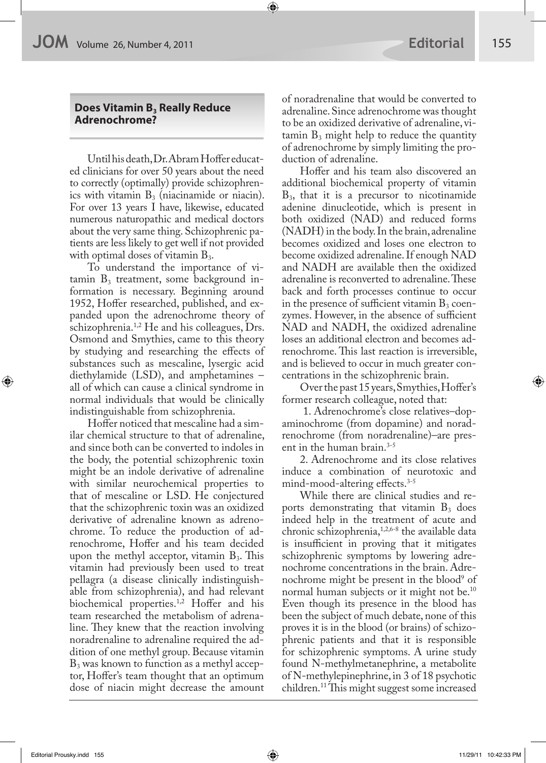## **Does Vitamin B<sub>3</sub> Really Reduce Adrenochrome?**

Until his death, Dr. Abram Hoffer educated clinicians for over 50 years about the need to correctly (optimally) provide schizophrenics with vitamin  $B_3$  (niacinamide or niacin). For over 13 years I have, likewise, educated numerous naturopathic and medical doctors about the very same thing. Schizophrenic patients are less likely to get well if not provided with optimal doses of vitamin  $B_3$ .

To understand the importance of vi $t_{\text{amin}}$  B<sub>3</sub> treatment, some background information is necessary. Beginning around 1952, Hoffer researched, published, and expanded upon the adrenochrome theory of schizophrenia.<sup>1,2</sup> He and his colleagues, Drs. Osmond and Smythies, came to this theory by studying and researching the effects of substances such as mescaline, lysergic acid diethylamide (LSD), and amphetamines – all of which can cause a clinical syndrome in normal individuals that would be clinically indistinguishable from schizophrenia.

Hoffer noticed that mescaline had a similar chemical structure to that of adrenaline, and since both can be converted to indoles in the body, the potential schizophrenic toxin might be an indole derivative of adrenaline with similar neurochemical properties to that of mescaline or LSD. He conjectured that the schizophrenic toxin was an oxidized derivative of adrenaline known as adrenochrome. To reduce the production of adrenochrome, Hoffer and his team decided upon the methyl acceptor, vitamin  $B_3$ . This vitamin had previously been used to treat pellagra (a disease clinically indistinguishable from schizophrenia), and had relevant biochemical properties.<sup>1,2</sup> Hoffer and his team researched the metabolism of adrenaline. They knew that the reaction involving noradrenaline to adrenaline required the addition of one methyl group. Because vitamin  $B_3$  was known to function as a methyl acceptor, Hoffer's team thought that an optimum dose of niacin might decrease the amount of noradrenaline that would be converted to adrenaline. Since adrenochrome was thought to be an oxidized derivative of adrenaline, vitamin  $B_3$  might help to reduce the quantity of adrenochrome by simply limiting the production of adrenaline.

Hoffer and his team also discovered an additional biochemical property of vitamin  $B_3$ , that it is a precursor to nicotinamide adenine dinucleotide, which is present in both oxidized (NAD) and reduced forms (NADH) in the body. In the brain, adrenaline becomes oxidized and loses one electron to become oxidized adrenaline. If enough NAD and NADH are available then the oxidized adrenaline is reconverted to adrenaline. These back and forth processes continue to occur in the presence of sufficient vitamin  $B_3$  coenzymes. However, in the absence of sufficient NAD and NADH, the oxidized adrenaline loses an additional electron and becomes adrenochrome. This last reaction is irreversible, and is believed to occur in much greater concentrations in the schizophrenic brain.

Over the past 15 years, Smythies, Hoffer's former research colleague, noted that:

 1. Adrenochrome's close relatives–dopaminochrome (from dopamine) and noradrenochrome (from noradrenaline)–are present in the human brain.<sup>3-5</sup>

2. Adrenochrome and its close relatives induce a combination of neurotoxic and mind-mood-altering effects.<sup>3-5</sup>

While there are clinical studies and reports demonstrating that vitamin  $B_3$  does indeed help in the treatment of acute and chronic schizophrenia,1,2,6-8 the available data is insufficient in proving that it mitigates schizophrenic symptoms by lowering adrenochrome concentrations in the brain. Adrenochrome might be present in the blood<sup>9</sup> of normal human subjects or it might not be.<sup>10</sup> Even though its presence in the blood has been the subject of much debate, none of this proves it is in the blood (or brains) of schizophrenic patients and that it is responsible for schizophrenic symptoms. A urine study found N-methylmetanephrine, a metabolite of N-methylepinephrine, in 3 of 18 psychotic  $children.<sup>11</sup>$ This might suggest some increased